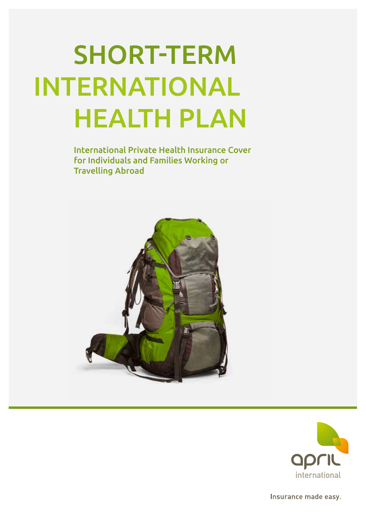# SHORT-TERM INTERNATIONAL HEALTH PLAN

International Private Health Insurance Cover for Individuals and Families Working or Travelling Abroad





Insurance made easy.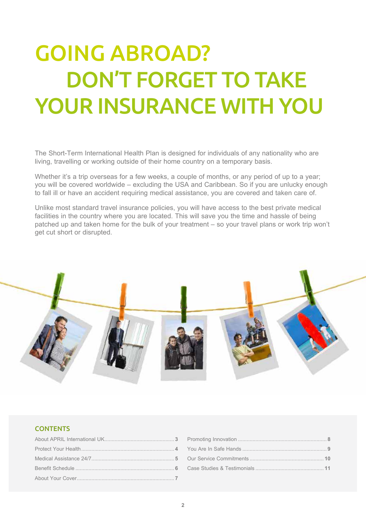## GOING ABROAD? DON'T FORGET TO TAKE YOUR INSURANCE WITH YOU

The Short-Term International Health Plan is designed for individuals of any nationality who are living, travelling or working outside of their home country on a temporary basis.

Whether it's a trip overseas for a few weeks, a couple of months, or any period of up to a year; you will be covered worldwide – excluding the USA and Caribbean. So if you are unlucky enough to fall ill or have an accident requiring medical assistance, you are covered and taken care of.

Unlike most standard travel insurance policies, you will have access to the best private medical facilities in the country where you are located. This will save you the time and hassle of being patched up and taken home for the bulk of your treatment – so your travel plans or work trip won't get cut short or disrupted.



### **CONTENTS**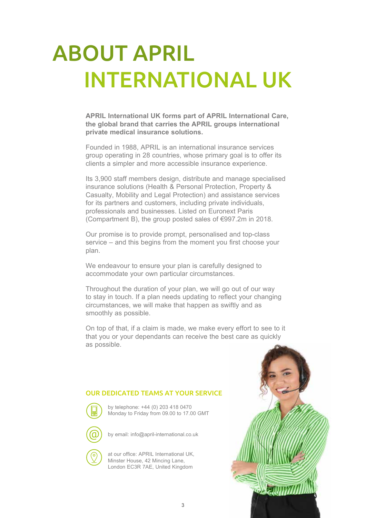## ABOUT APRIL INTERNATIONAL UK

**APRIL International UK forms part of APRIL International Care, the global brand that carries the APRIL groups international private medical insurance solutions.**

Founded in 1988, APRIL is an international insurance services group operating in 28 countries, whose primary goal is to offer its clients a simpler and more accessible insurance experience.

Its 3,900 staff members design, distribute and manage specialised insurance solutions (Health & Personal Protection, Property & Casualty, Mobility and Legal Protection) and assistance services for its partners and customers, including private individuals, professionals and businesses. Listed on Euronext Paris (Compartment B), the group posted sales of €997.2m in 2018.

Our promise is to provide prompt, personalised and top-class service – and this begins from the moment you first choose your plan.

We endeavour to ensure your plan is carefully designed to accommodate your own particular circumstances.

Throughout the duration of your plan, we will go out of our way to stay in touch. If a plan needs updating to reflect your changing circumstances, we will make that happen as swiftly and as smoothly as possible.

On top of that, if a claim is made, we make every effort to see to it that you or your dependants can receive the best care as quickly as possible.

### OUR DEDICATED TEAMS AT YOUR SERVICE



by telephone: +44 (0) 203 418 0470 Monday to Friday from 09.00 to 17.00 GMT



by email: info@april-international.co.uk

at our office: APRIL International UK, Minster House, 42 Mincing Lane, London EC3R 7AE, United Kingdom

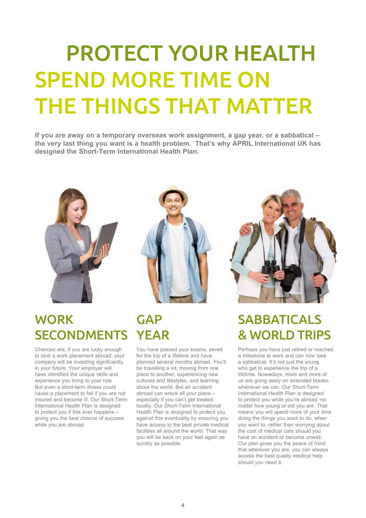## PROTECT YOUR HEALTH SPEND MORE TIME ON THE THINGS THAT MATTER

**If you are away on a temporary overseas work assignment, a gap year, or a sabbatical – the very last thing you want is a health problem. That's why APRIL International UK has designed the Short-Term International Health Plan.**



### **WORK** SECONDMENTS YEAR

Chances are, if you are lucky enough to land a work placement abroad, your company will be investing significantly in your future. Your employer will have identified the unique skills and experience you bring to your role. But even a short-term illness could cause a placement to fail if you are not insured and become ill. Our Short-Term International Health Plan is designed to protect you if this ever happens – giving you the best chance of success while you are abroad.



# **GAP**

You have passed your exams, saved for the trip of a lifetime and have planned several months abroad. You'll be travelling a lot, moving from one place to another, experiencing new cultures and lifestyles, and learning about the world. But an accident abroad can wreck all your plans – especially if you can't get treated locally. Our Short-Term International Health Plan is designed to protect you against this eventuality by ensuring you have access to the best private medical facilities all around the world. That way you will be back on your feet again as quickly as possible.



### SABBATICALS & WORLD TRIPS

Perhaps you have just retired or reached a milestone at work and can now take a sabbatical. It's not just the young who get to experience the trip of a lifetime. Nowadays, more and more of us are going away on extended breaks whenever we can. Our Short-Term International Health Plan is designed to protect you while you're abroad, no matter how young or old you are. That means you will spend more of your time doing the things you want to do, when you want to, rather than worrying about the cost of medical care should you have an accident or become unwell. Our plan gives you the peace of mind that wherever you are, you can always access the best quality medical help should you need it.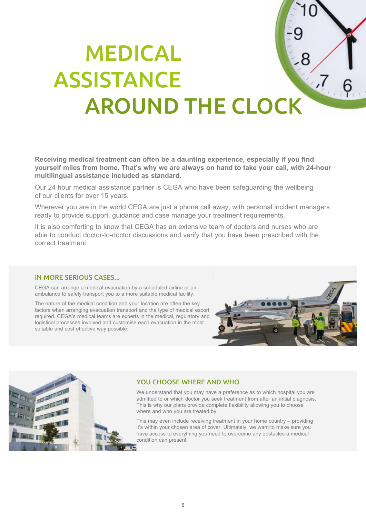### MEDICAL ASSISTANCE  $7,6$  AROUND THE CLOCK

**Receiving medical treatment can often be a daunting experience, especially if you find yourself miles from home. That's why we are always on hand to take your call, with 24-hour multilingual assistance included as standard.**

Our 24 hour medical assistance partner is CEGA who have been safeguarding the wellbeing of our clients for over 15 years.

Wherever you are in the world CEGA are just a phone call away, with personal incident managers ready to provide support, guidance and case manage your treatment requirements.

It is also comforting to know that CEGA has an extensive team of doctors and nurses who are able to conduct doctor-to-doctor discussions and verify that you have been prescribed with the correct treatment.

### IN MORE SERIOUS CASES...

CEGA can arrange a medical evacuation by a scheduled airline or air ambulance to safely transport you to a more suitable medical facility.

The nature of the medical condition and your location are often the key factors when arranging evacuation transport and the type of medical escort required. CEGA's medical teams are experts in the medical, regulatory and logistical processes involved and customise each evacuation in the most suitable and cost effective way possible.





### YOU CHOOSE WHERE AND WHO

We understand that you may have a preference as to which hospital you are admitted to or which doctor you seek treatment from after an initial diagnosis. This is why our plans provide complete flexibility allowing you to choose where and who you are treated by.

This may even include receiving treatment in your home country – providing it's within your chosen area of cover. Ultimately, we want to make sure you have access to everything you need to overcome any obstacles a medical condition can present.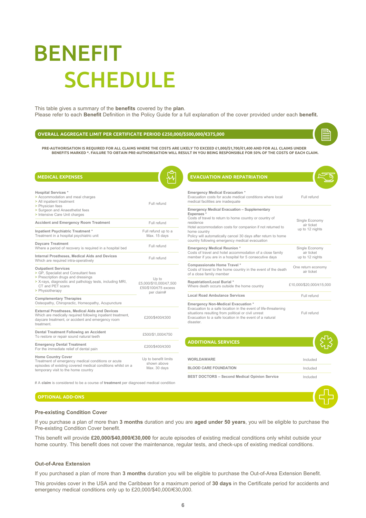## BENEFIT **SCHEDULE**

This table gives a summary of the **benefits** covered by the **plan**. Please refer to each **Benefit** Definition in the Policy Guide for a full explanation of the cover provided under each **benefit.**

#### **OVERALL AGGREGATE LIMIT PER CERTIFICATE PERIOD £250,000/\$500,000/€375,000**

PRE-AUTHORISATION IS REQUIRED FOR ALL CLAIMS WHERE THE COSTS ARE LIKELY TO EXCEED £1,000/\$1,700/€1,400 AND FOR ALL CLAIMS UNDER<br>BENEFITS MARKED \*. FAILURE TO OBTAIN PRE-AUTHORISATION WILL RESULT IN YOU BEING RESPONSIBLE F

| <b>MEDICAL EXPENSES</b>                                                                                                                                                                                                              |                                                                                                                       | <b>EVACUATION AND REPATRIATION</b>                                                                                                                                                                                                  |                                                 |  |
|--------------------------------------------------------------------------------------------------------------------------------------------------------------------------------------------------------------------------------------|-----------------------------------------------------------------------------------------------------------------------|-------------------------------------------------------------------------------------------------------------------------------------------------------------------------------------------------------------------------------------|-------------------------------------------------|--|
| <b>Hospital Services*</b><br>> Accommodation and meal charges<br>> All inpatient treatment<br>> Physician fees                                                                                                                       | Full refund                                                                                                           | <b>Emergency Medical Evacuation *</b><br>Evacuation costs for acute medical conditions where local<br>medical facilities are inadequate                                                                                             | Full refund                                     |  |
| > Surgeon and Anaesthetist fees<br>> Intensive Care Unit charges                                                                                                                                                                     | Emergency Medical Evacuation - Supplementary<br>Expenses *<br>Costs of travel to return to home country or country of |                                                                                                                                                                                                                                     |                                                 |  |
| <b>Accident and Emergency Room Treatment</b>                                                                                                                                                                                         | Full refund                                                                                                           | residence<br>Hotel accommodation costs for companion if not returned to                                                                                                                                                             | Single Economy<br>air ticket                    |  |
| Inpatient Psychiatric Treatment *<br>Treatment in a hospital psychiatric unit                                                                                                                                                        | Full refund up to a<br>Max. 15 days                                                                                   | home country<br>Policy will automatically cancel 30 days after return to home<br>country following emergency medical evacuation                                                                                                     | up to 12 nights                                 |  |
| Daycare Treatment<br>Where a period of recovery is required in a hospital bed                                                                                                                                                        | Full refund                                                                                                           | <b>Emergency Medical Reunion*</b>                                                                                                                                                                                                   | Single Economy<br>air ticket<br>up to 12 nights |  |
| Internal Prostheses, Medical Aids and Devices<br>Which are required intra-operatively                                                                                                                                                | Full refund                                                                                                           | Costs of travel and hotel accommodation of a close family<br>member if you are in a hospital for 5 consecutive days                                                                                                                 |                                                 |  |
| <b>Outpatient Services</b><br>> GP, Specialist and Consultant fees<br>> Prescription drugs and dressings                                                                                                                             | Up to<br>£5.000/\$10.000/€7.500<br>£50/\$100/€75 excess                                                               | Compassionate Home Travel *<br>Costs of travel to the home country in the event of the death<br>of a close family member                                                                                                            | One return economy<br>air ticket                |  |
| > X-rays, diagnostic and pathology tests, including MRI,<br>CT and PET scans<br>> Physiotherapy                                                                                                                                      |                                                                                                                       | Repatriation/Local Burial *<br>Where death occurs outside the home country                                                                                                                                                          | £10,000/\$20,000/€15,000                        |  |
| <b>Complementary Therapies</b>                                                                                                                                                                                                       | per claim#                                                                                                            | <b>Local Road Ambulance Services</b>                                                                                                                                                                                                | Full refund                                     |  |
| Osteopathy, Chiropractic, Homeopathy, Acupuncture<br>External Prostheses, Medical Aids and Devices<br>Which are medically required following inpatient treatment,<br>daycare treatment, or accident and emergency room<br>treatment. | £200/\$400/€300                                                                                                       | Emergency Non-Medical Evacuation *<br>Evacuation to a safe location in the event of life-threatening<br>situations resulting from political or civil unrest<br>Evacuation to a safe location in the event of a natural<br>disaster. | Full refund                                     |  |
| Dental Treatment Following an Accident<br>To restore or repair sound natural teeth                                                                                                                                                   | £500/\$1,000/€750                                                                                                     |                                                                                                                                                                                                                                     |                                                 |  |
| <b>Emergency Dental Treatment</b><br>For the immediate relief of dental pain                                                                                                                                                         | £200/\$400/€300                                                                                                       | <b>ADDITIONAL SERVICES</b>                                                                                                                                                                                                          |                                                 |  |
| Home Country Cover<br>Treatment of emergency medical conditions or acute                                                                                                                                                             | Up to benefit limits<br>shown above                                                                                   | <b>WORLDAWARE</b>                                                                                                                                                                                                                   | Included                                        |  |
| episodes of existing covered medical conditions whilst on a<br>temporary visit to the home country                                                                                                                                   | Max. 30 days                                                                                                          | <b>BLOOD CARE FOUNDATION</b>                                                                                                                                                                                                        | Included                                        |  |

# A **claim** is considered to be a course of **treatment** per diagnosed medical condition

### **OPTIONAL ADD-ONS**



**BEST DOCTORS – Second Medical Opinion Service** Included

#### **Pre-existing Condition Cover**

If you purchase a plan of more than **3 months** duration and you are **aged under 50 years**, you will be eligible to purchase the Pre-existing Condition Cover benefit.

This benefit will provide **£20,000/\$40,000/€30,000** for acute episodes of existing medical conditions only whilst outside your home country. This benefit does not cover the maintenance, regular tests, and check-ups of existing medical conditions.

#### **Out-of-Area Extension**

If you purchased a plan of more than **3 months** duration you will be eligible to purchase the Out-of-Area Extension Benefit.

This provides cover in the USA and the Caribbean for a maximum period of **30 days** in the Certificate period for accidents and emergency medical conditions only up to £20,000/\$40,000/€30,000.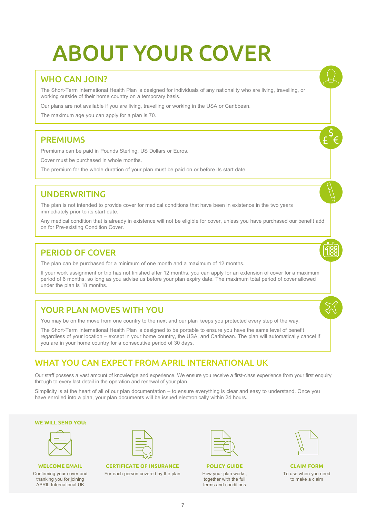## ABOUT YOUR COVER

### WHO CAN JOIN?

The Short-Term International Health Plan is designed for individuals of any nationality who are living, travelling, or working outside of their home country on a temporary basis.

Our plans are not available if you are living, travelling or working in the USA or Caribbean.

The maximum age you can apply for a plan is 70.

### PREMIUMS

Premiums can be paid in Pounds Sterling, US Dollars or Euros.

Cover must be purchased in whole months.

The premium for the whole duration of your plan must be paid on or before its start date.

### UNDERWRITING

The plan is not intended to provide cover for medical conditions that have been in existence in the two years immediately prior to its start date.

Any medical condition that is already in existence will not be eligible for cover, unless you have purchased our benefit add on for Pre-existing Condition Cover.

### PERIOD OF COVER

The plan can be purchased for a minimum of one month and a maximum of 12 months.

If your work assignment or trip has not finished after 12 months, you can apply for an extension of cover for a maximum period of 6 months, so long as you advise us before your plan expiry date. The maximum total period of cover allowed under the plan is 18 months.

### YOUR PLAN MOVES WITH YOU

You may be on the move from one country to the next and our plan keeps you protected every step of the way.

The Short-Term International Health Plan is designed to be portable to ensure you have the same level of benefit regardless of your location – except in your home country, the USA, and Caribbean. The plan will automatically cancel if you are in your home country for a consecutive period of 30 days.

### WHAT YOU CAN EXPECT FROM APRIL INTERNATIONAL LIK

Our staff possess a vast amount of knowledge and experience. We ensure you receive a first-class experience from your first enquiry through to every last detail in the operation and renewal of your plan.

Simplicity is at the heart of all of our plan documentation – to ensure everything is clear and easy to understand. Once you have enrolled into a plan, your plan documents will be issued electronically within 24 hours.

#### **WE WILL SEND YOU:**

**WELCOME EMAIL** Confirming your cover and thanking you for joining APRIL International UK

**CERTIFICATE OF INSURANCE** For each person covered by the plan

**POLICY GUIDE** How your plan works, together with the full terms and conditions



**CLAIM FORM** To use when you need to make a claim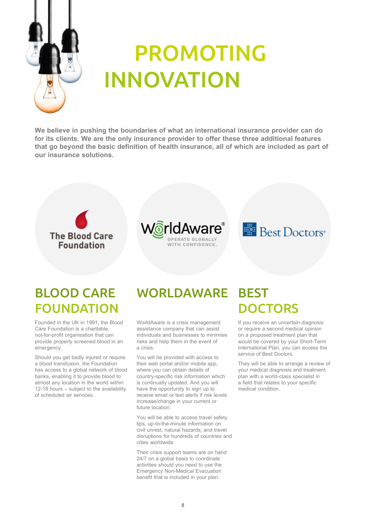

### PROMOTING INNOVATION

**We believe in pushing the boundaries of what an international insurance provider can do for its clients. We are the only insurance provider to offer these three additional features that go beyond the basic definition of health insurance, all of which are included as part of our insurance solutions.**







### BLOOD CARE FOUNDATION

Founded in the UK in 1991, the Blood Care Foundation is a charitable, not-for-profit organisation that can provide properly screened blood in an emergency.

Should you get badly injured or require a blood transfusion, the Foundation has access to a global network of blood banks, enabling it to provide blood to almost any location in the world within 12-18 hours – subject to the availability of scheduled air services.

### WORLDAWARE

WorldAware is a crisis management assistance company that can assist individuals and businesses to minimise risks and help them in the event of a crisis.

You will be provided with access to their web portal and/or mobile app, where you can obtain details of country-specific risk information which is continually updated. And you will have the opportunity to sign up to receive email or text alerts if risk levels increase/change in your current or future location.

You will be able to access travel safety tips, up-to-the-minute information on civil unrest, natural hazards, and travel disruptions for hundreds of countries and cities worldwide.

Their crisis support teams are on hand 24/7 on a global basis to coordinate activities should you need to use the Emergency Non-Medical Evacuation benefit that is included in your plan.

### **BEST DOCTORS**

If you receive an uncertain diagnosis or require a second medical opinion on a proposed treatment plan that would be covered by your Short-Term International Plan, you can access the service of Best Doctors.

They will be able to arrange a review of your medical diagnosis and treatment plan with a world-class specialist in a field that relates to your specific medical condition.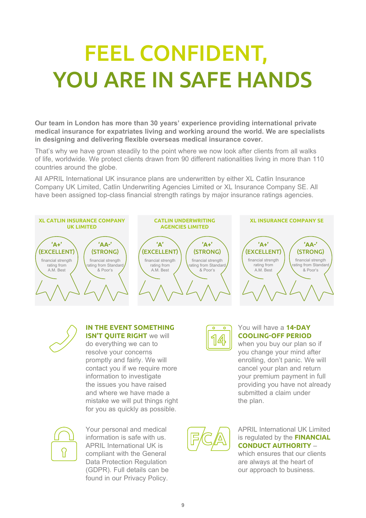## FEEL CONFIDENT, YOU ARE IN SAFE HANDS

**Our team in London has more than 30 years' experience providing international private medical insurance for expatriates living and working around the world. We are specialists in designing and delivering flexible overseas medical insurance cover.**

That's why we have grown steadily to the point where we now look after clients from all walks of life, worldwide. We protect clients drawn from 90 different nationalities living in more than 110 countries around the globe.

All APRIL International UK insurance plans are underwritten by either XL Catlin Insurance Company UK Limited, Catlin Underwriting Agencies Limited or XL Insurance Company SE. All have been assigned top-class financial strength ratings by major insurance ratings agencies.



![](_page_8_Picture_5.jpeg)

### **IN THE EVENT SOMETHING ISN'T QUITE RIGHT** we will

do everything we can to resolve your concerns promptly and fairly. We will contact you if we require more information to investigate the issues you have raised and where we have made a mistake we will put things right for you as quickly as possible.

![](_page_8_Picture_8.jpeg)

Your personal and medical information is safe with us. APRIL International UK is compliant with the General Data Protection Regulation (GDPR). Full details can be found in our Privacy Policy.

![](_page_8_Picture_10.jpeg)

### You will have a **14-DAY COOLING-OFF PERIOD**

when you buy our plan so if you change your mind after enrolling, don't panic. We will cancel your plan and return your premium payment in full providing you have not already submitted a claim under the plan.

![](_page_8_Picture_13.jpeg)

### APRIL International UK Limited is regulated by the **FINANCIAL CONDUCT AUTHORITY** –

which ensures that our clients are always at the heart of our approach to business.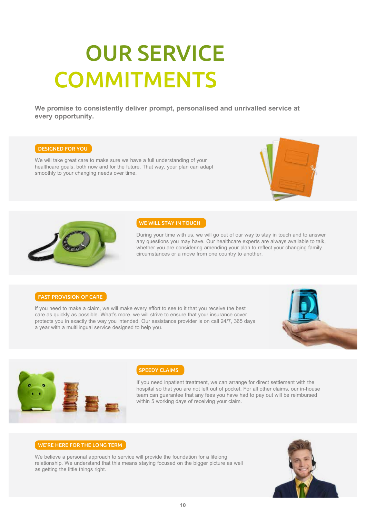## OUR SERVICE **COMMITMENTS**

**We promise to consistently deliver prompt, personalised and unrivalled service at every opportunity.**

### DESIGNED FOR YOU

We will take great care to make sure we have a full understanding of your healthcare goals, both now and for the future. That way, your plan can adapt smoothly to your changing needs over time.

![](_page_9_Picture_4.jpeg)

![](_page_9_Picture_5.jpeg)

#### WE WILL STAY IN TOUCH

During your time with us, we will go out of our way to stay in touch and to answer any questions you may have. Our healthcare experts are always available to talk, whether you are considering amending your plan to reflect your changing family circumstances or a move from one country to another.

#### FAST PROVISION OF CARE

If you need to make a claim, we will make every effort to see to it that you receive the best care as quickly as possible. What's more, we will strive to ensure that your insurance cover protects you in exactly the way you intended. Our assistance provider is on call 24/7, 365 days a year with a multilingual service designed to help you.

![](_page_9_Picture_10.jpeg)

![](_page_9_Picture_11.jpeg)

### SPEEDY CLAIMS

If you need inpatient treatment, we can arrange for direct settlement with the hospital so that you are not left out of pocket. For all other claims, our in-house team can guarantee that any fees you have had to pay out will be reimbursed within 5 working days of receiving your claim.

#### WE'RE HERE FOR THE LONG TERM

We believe a personal approach to service will provide the foundation for a lifelong relationship. We understand that this means staying focused on the bigger picture as well as getting the little things right.

![](_page_9_Picture_16.jpeg)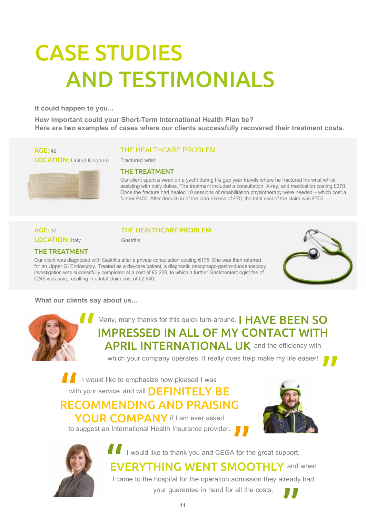## CASE STUDIES AND TESTIMONIALS

**It could happen to you...**

**How important could your Short-Term International Health Plan be? Here are two examples of cases where our clients successfully recovered their treatment costs.**

### AGE: 42

LOCATION: United Kingdom

![](_page_10_Picture_5.jpeg)

### THE HEALTHCARE PROBLEM

Fractured wrist

### THE TREATMENT

Our client spent a week on a yacht during his gap year travels where he fractured his wrist whilst assisting with daily duties. The treatment included a consultation, X-ray, and medication costing £370. Once the fracture had healed 10 sessions of rehabilitation physiotherapy were needed – which cost a further £400. After deduction of the plan excess of £70, the total cost of the claim was £700.

### AGE: 37 **LOCATION: Italy**

### THE HEALTHCARE PROBLEM

Gastritis

### THE TREATMENT

Our client was diagnosed with Gastritis after a private consultation costing €175. She was then referred for an Upper GI Endoscopy. Treated as a daycare patient, a diagnostic oesophago-gastro-duodenoscopy investigation was successfully completed at a cost of €2,220, to which a further Gastroenterologist fee of €245 was paid, resulting in a total claim cost of €2,640.

![](_page_10_Picture_15.jpeg)

### **What our clients say about us...**

![](_page_10_Picture_17.jpeg)

Many, many thanks for this quick turn-around. I HAVE BEEN SO IMPRESSED IN ALL OF MY CONTACT WITH **APRIL INTERNATIONAL UK** and the efficiency with

which your company operates. It really does help make my life easier!

**I** I would like to emphasize how pleased I was

with your service and will **DEFINITELY BE** 

RECOMMENDING AND PRAISING YOUR COMPANY if I am ever asked

to suggest an International Health Insurance provider.

![](_page_10_Picture_24.jpeg)

![](_page_10_Picture_25.jpeg)

I vould like to thank you and CEGA for the great support.

EVERYTHING WENT SMOOTHLY and when I came to the hospital for the operation admission they already had

your guarantee in hand for all the costs.

![](_page_10_Picture_29.jpeg)